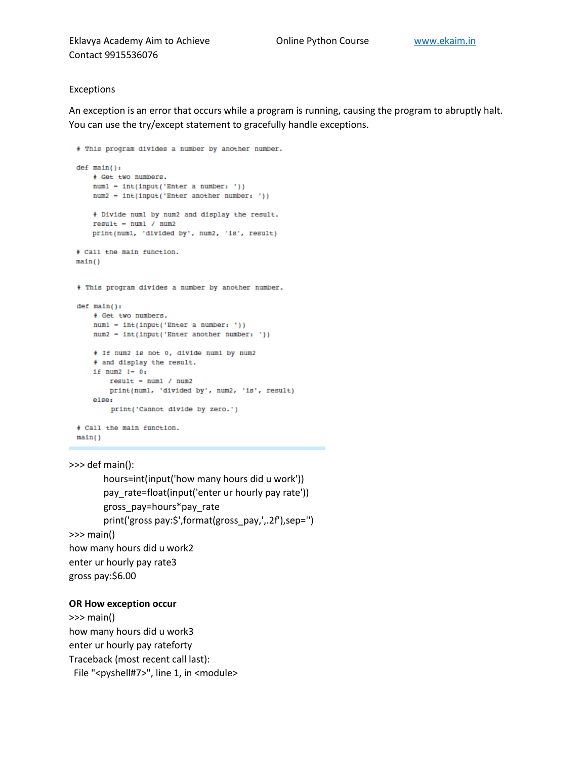Eklavya Academy Aim to Achieve **Concept Concept Contract Contract** [www.ekaim.in](http://www.ekaim.in/) Contact 9915536076

### Exceptions

An exception is an error that occurs while a program is running, causing the program to abruptly halt. You can use the try/except statement to gracefully handle exceptions.

```
# This program divides a number by another number.
def \ \nmin() :# Get two numbers.
    numl - int(input('Enter a number: '))
    num2 - int(input('Enter another number: '))
    # Divide numl by num2 and display the result.
    result = num1 / num2print(numl, 'divided by', num2, 'is', result)
+ Call the main function.
main()# This program divides a number by another number.
def \ \nmin() :# Get two numbers.
    numl = int(input('Enter a number: '))
    num2 - int(input('Enter another number: '))
    + If num2 is not 0, divide numl by num2
    + and display the result.
    1f num2 1-0fresult - num1 / num2print(numl, 'divided by', num2, 'is', result)
    elser
        print('Cannot divide by zero.')
+ Call the main function.
main()
```
>>> def main(): hours=int(input('how many hours did u work')) pay\_rate=float(input('enter ur hourly pay rate')) gross\_pay=hours\*pay\_rate print('gross pay:\$',format(gross\_pay,',.2f'),sep='') >>> main() how many hours did u work2 enter ur hourly pay rate3 gross pay:\$6.00

#### **OR How exception occur**

>>> main() how many hours did u work3 enter ur hourly pay rateforty Traceback (most recent call last): File "<pyshell#7>", line 1, in <module>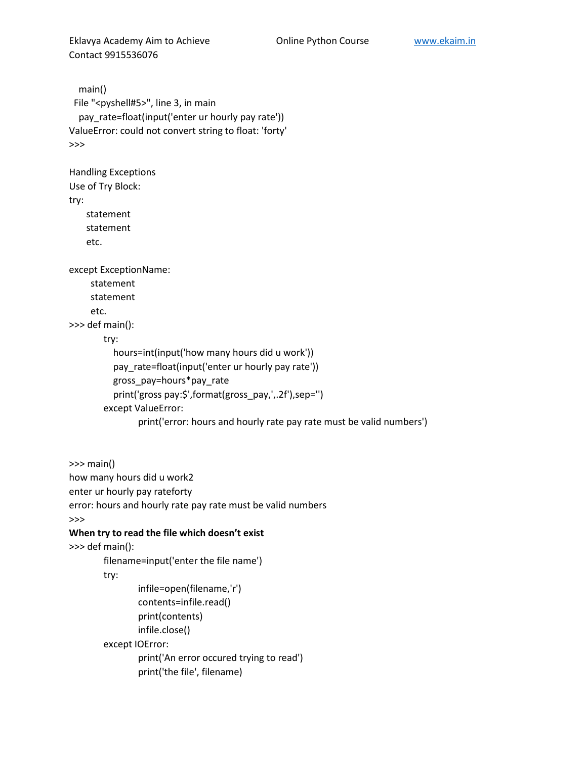Eklavya Academy Aim to Achieve **Colline Python Course** [www.ekaim.in](http://www.ekaim.in/) Contact 9915536076

```
 main()
 File "<pyshell#5>", line 3, in main
   pay_rate=float(input('enter ur hourly pay rate'))
ValueError: could not convert string to float: 'forty'
>>>
Handling Exceptions
Use of Try Block:
try:
    statement
    statement
    etc.
except ExceptionName:
     statement
     statement
    etc.
>>> def main():
        try:
           hours=int(input('how many hours did u work'))
           pay_rate=float(input('enter ur hourly pay rate'))
           gross_pay=hours*pay_rate
           print('gross pay:$',format(gross_pay,',.2f'),sep='')
        except ValueError:
                print('error: hours and hourly rate pay rate must be valid numbers')
>>> main()
how many hours did u work2
enter ur hourly pay rateforty
error: hours and hourly rate pay rate must be valid numbers
>>>
When try to read the file which doesn't exist
>>> def main():
        filename=input('enter the file name')
        try:
                infile=open(filename,'r')
                contents=infile.read()
                print(contents)
                infile.close()
        except IOError:
                print('An error occured trying to read')
```

```
print('the file', filename)
```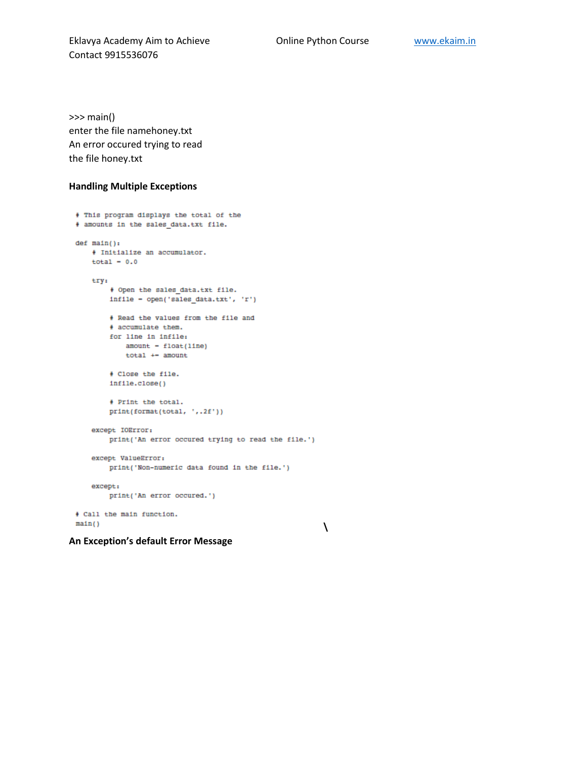**\**

Eklavya Academy Aim to Achieve **Conserver Conline Python Course** Willem Willemsing Contact 9915536076

>>> main() enter the file namehoney.txt An error occured trying to read the file honey.txt

### **Handling Multiple Exceptions**

```
# This program displays the total of the
# amounts in the sales data.txt file.
def \ \tmin() :# Initialize an accumulator.
   total = 0.0try:
        # Open the sales_data.txt file.
        infile - open('sales_data.txt', 'r')
        # Read the values from the file and
        # accumulate them.
        for line in infile:
           amount - float(line)total +- amount
        # Close the file.
        infile.close()
        # Print the total.
        print(format(total, ',.2f'))
    except IOError:
        print('An error occured trying to read the file.')
    except ValueError:
       print('Non-numeric data found in the file.')
    except:print('An error occured.')
# Call the main function.
main()
```
**An Exception's default Error Message**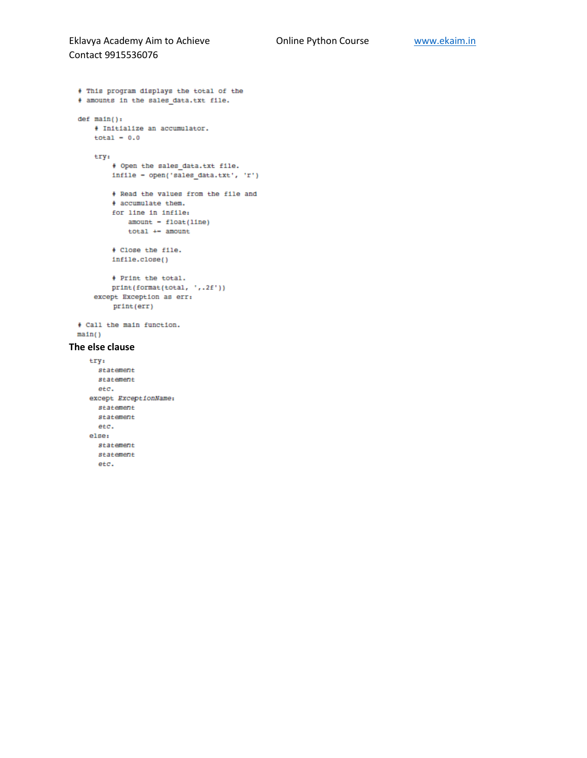### Eklavya Academy Aim to Achieve **Conserver Conline Python Course** Willem Willemsin Contact 9915536076

```
# This program displays the total of the
  # amounts in the sales_data.txt file.
  def \ \nmin() :# Initialize an accumulator.
      total = 0.0try:
          + Open the sales_data.txt file.
          infile - open('sales_data.txt', 'r')
          # Read the values from the file and
          + accumulate them.
          for line in infile:
             amount - float(line)total +- amount
          # Close the file.
          infile.close()
          # Print the total.
         print(format(total, ',.2f'))
      except Exception as err:
         print(err)
  + Call the main function.
 main()The else clausetry:
      statement
      statement
      etc.
    except ExceptionName:
     statement
      statement
```
etc. elser statement statement etc.